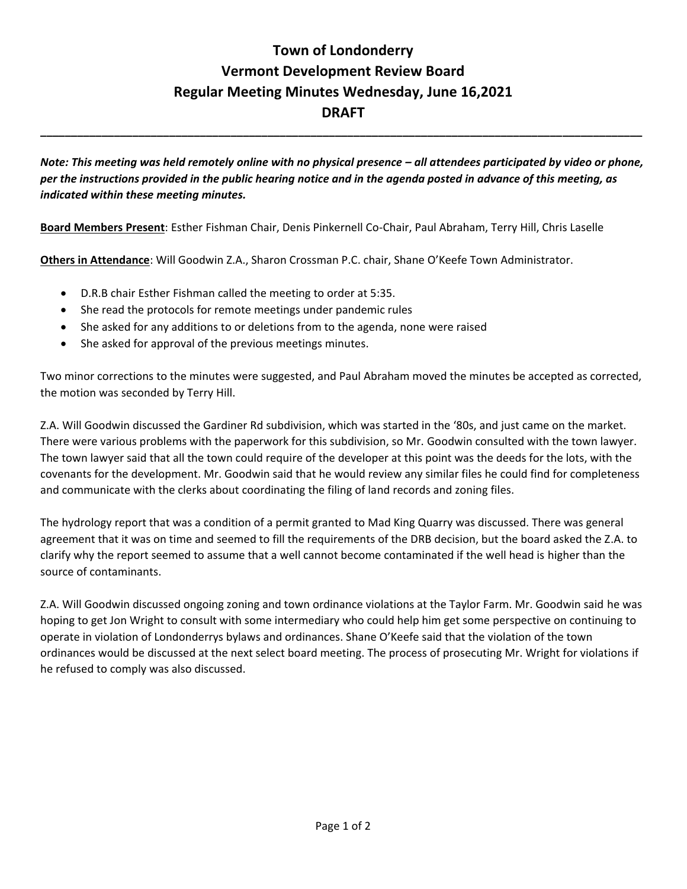## **Town of Londonderry Vermont Development Review Board Regular Meeting Minutes Wednesday, June 16,2021 DRAFT**

*Note: This meeting was held remotely online with no physical presence – all attendees participated by video or phone, per the instructions provided in the public hearing notice and in the agenda posted in advance of this meeting, as indicated within these meeting minutes.* 

**\_\_\_\_\_\_\_\_\_\_\_\_\_\_\_\_\_\_\_\_\_\_\_\_\_\_\_\_\_\_\_\_\_\_\_\_\_\_\_\_\_\_\_\_\_\_\_\_\_\_\_\_\_\_\_\_\_\_\_\_\_\_\_\_\_\_\_\_\_\_\_\_\_\_\_\_\_\_\_\_\_\_\_\_\_\_\_\_\_\_\_\_\_\_\_\_\_\_**

**Board Members Present**: Esther Fishman Chair, Denis Pinkernell Co-Chair, Paul Abraham, Terry Hill, Chris Laselle

**Others in Attendance**: Will Goodwin Z.A., Sharon Crossman P.C. chair, Shane O'Keefe Town Administrator.

- D.R.B chair Esther Fishman called the meeting to order at 5:35.
- She read the protocols for remote meetings under pandemic rules
- She asked for any additions to or deletions from to the agenda, none were raised
- She asked for approval of the previous meetings minutes.

Two minor corrections to the minutes were suggested, and Paul Abraham moved the minutes be accepted as corrected, the motion was seconded by Terry Hill.

Z.A. Will Goodwin discussed the Gardiner Rd subdivision, which was started in the '80s, and just came on the market. There were various problems with the paperwork for this subdivision, so Mr. Goodwin consulted with the town lawyer. The town lawyer said that all the town could require of the developer at this point was the deeds for the lots, with the covenants for the development. Mr. Goodwin said that he would review any similar files he could find for completeness and communicate with the clerks about coordinating the filing of land records and zoning files.

The hydrology report that was a condition of a permit granted to Mad King Quarry was discussed. There was general agreement that it was on time and seemed to fill the requirements of the DRB decision, but the board asked the Z.A. to clarify why the report seemed to assume that a well cannot become contaminated if the well head is higher than the source of contaminants.

Z.A. Will Goodwin discussed ongoing zoning and town ordinance violations at the Taylor Farm. Mr. Goodwin said he was hoping to get Jon Wright to consult with some intermediary who could help him get some perspective on continuing to operate in violation of Londonderrys bylaws and ordinances. Shane O'Keefe said that the violation of the town ordinances would be discussed at the next select board meeting. The process of prosecuting Mr. Wright for violations if he refused to comply was also discussed.